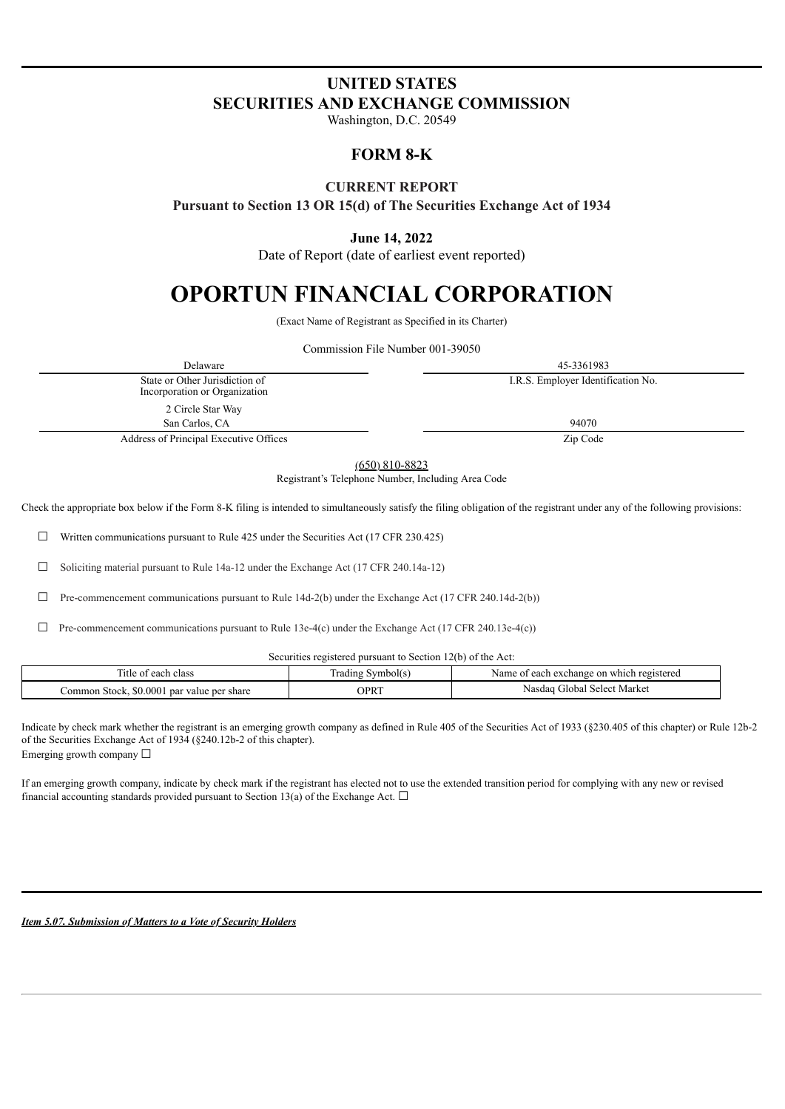# **UNITED STATES SECURITIES AND EXCHANGE COMMISSION**

Washington, D.C. 20549

# **FORM 8-K**

## **CURRENT REPORT**

**Pursuant to Section 13 OR 15(d) of The Securities Exchange Act of 1934**

## **June 14, 2022**

Date of Report (date of earliest event reported)

# **OPORTUN FINANCIAL CORPORATION**

(Exact Name of Registrant as Specified in its Charter)

Commission File Number 001-39050

Delaware 45-3361983 State or Other Jurisdiction of Incorporation or Organization I.R.S. Employer Identification No. 2 Circle Star Way San Carlos, CA 94070 Address of Principal Executive Offices **Zip Code** 

(650) 810-8823

Registrant's Telephone Number, Including Area Code

Check the appropriate box below if the Form 8-K filing is intended to simultaneously satisfy the filing obligation of the registrant under any of the following provisions:

☐ Written communications pursuant to Rule 425 under the Securities Act (17 CFR 230.425)

☐ Soliciting material pursuant to Rule 14a-12 under the Exchange Act (17 CFR 240.14a-12)

☐ Pre-commencement communications pursuant to Rule 14d-2(b) under the Exchange Act (17 CFR 240.14d-2(b))

Securities registered pursuant to Section 12(b) of the Act:

| ÷.<br>. itle<br>each class<br>-01                       | $\sim$<br>Symbol(s)<br>radıng | v which registered<br>each<br>exchange on<br>Name |
|---------------------------------------------------------|-------------------------------|---------------------------------------------------|
| .000<br>.ommon<br>par value per<br>share<br>Stock<br>90 | OPRT                          | Select Market<br>Nasdac<br>. ilobal.              |

Indicate by check mark whether the registrant is an emerging growth company as defined in Rule 405 of the Securities Act of 1933 (§230.405 of this chapter) or Rule 12b-2 of the Securities Exchange Act of 1934 (§240.12b-2 of this chapter). Emerging growth company  $\Box$ 

If an emerging growth company, indicate by check mark if the registrant has elected not to use the extended transition period for complying with any new or revised financial accounting standards provided pursuant to Section 13(a) of the Exchange Act.  $\Box$ 

*Item 5.07. Submission of Matters to a Vote of Security Holders*

 $\Box$  Pre-commencement communications pursuant to Rule 13e-4(c) under the Exchange Act (17 CFR 240.13e-4(c))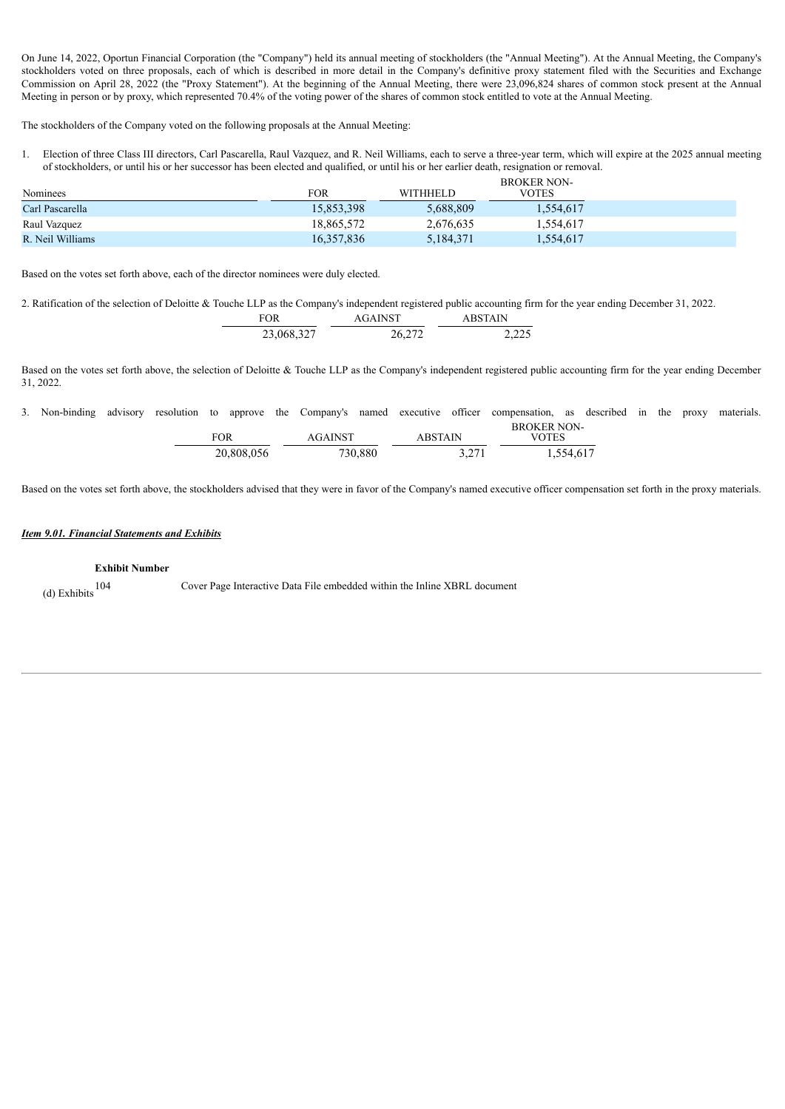On June 14, 2022, Oportun Financial Corporation (the "Company") held its annual meeting of stockholders (the "Annual Meeting"). At the Annual Meeting, the Company's stockholders voted on three proposals, each of which is described in more detail in the Company's definitive proxy statement filed with the Securities and Exchange Commission on April 28, 2022 (the "Proxy Statement"). At the beginning of the Annual Meeting, there were 23,096,824 shares of common stock present at the Annual Meeting in person or by proxy, which represented 70.4% of the voting power of the shares of common stock entitled to vote at the Annual Meeting.

The stockholders of the Company voted on the following proposals at the Annual Meeting:

1. Election of three Class III directors, Carl Pascarella, Raul Vazquez, and R. Neil Williams, each to serve a three-year term, which will expire at the 2025 annual meeting of stockholders, or until his or her successor has been elected and qualified, or until his or her earlier death, resignation or removal.

|                  |            | <b>BROKER NON-</b> |              |  |
|------------------|------------|--------------------|--------------|--|
| Nominees         | FOR        | <b>WITHHELD</b>    | <b>VOTES</b> |  |
| Carl Pascarella  | 15,853,398 | 5.688.809          | 1,554,617    |  |
| Raul Vazquez     | 18,865,572 | 2,676,635          | 1,554,617    |  |
| R. Neil Williams | 16.357.836 | 5,184,371          | 1,554,617    |  |

Based on the votes set forth above, each of the director nominees were duly elected.

2. Ratification of the selection of Deloitte & Touche LLP as the Company's independent registered public accounting firm for the year ending December 31, 2022.

| FOR        | <b>AGAINST</b> | <b>ABSTAIN</b> |  |
|------------|----------------|----------------|--|
| 23,068,327 | 26,272         | 2,225          |  |

Based on the votes set forth above, the selection of Deloitte & Touche LLP as the Company's independent registered public accounting firm for the year ending December 31, 2022.

3. Non-binding advisory resolution to approve the Company's named executive officer compensation, as described in the proxy materials.

| FOR        | <b>AGAINST</b> | ABSTAIN | <b>BROKER NON-</b><br>VOTES |
|------------|----------------|---------|-----------------------------|
| 20,808,056 | 730,880        | 3.271   | 1,554,617                   |

Based on the votes set forth above, the stockholders advised that they were in favor of the Company's named executive officer compensation set forth in the proxy materials.

#### *Item 9.01. Financial Statements and Exhibits*

### **Exhibit Number**

(d) Exhibits 104 Cover Page Interactive Data File embedded within the Inline XBRL document